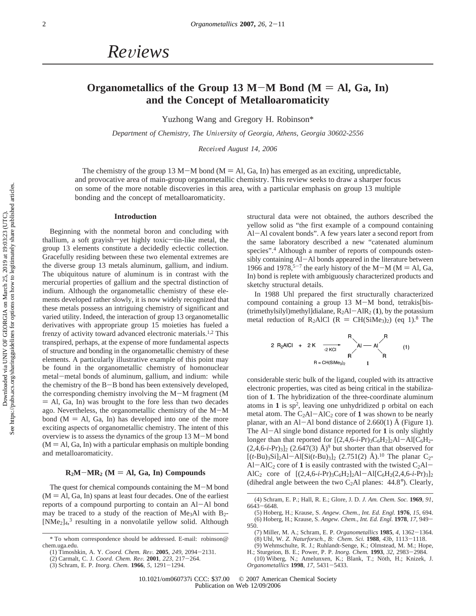See https://pubs.acs.org/sharingguidelines for options on how to legitimately share published articles. Downloaded via UNIV OF GEORGIA on March 25, 2019 at 19:03:23 (UTC).<br>See https://pubs.acs.org/sharingguidelines for options on how to legitimately share published articles. Downloaded via UNIV OF GEORGIA on March 25, 2019 at 19:03:23 (UTC).

# **Organometallics of the Group 13 M–M Bond (M = Al, Ga, In) and the Concept of Metalloaromaticity**

Yuzhong Wang and Gregory H. Robinson\*

*Department of Chemistry, The University of Georgia, Athens, Georgia 30602-2556* 

*Recei*V*ed August 14, 2006*

The chemistry of the group 13 M-M bond ( $M = A$ l, Ga, In) has emerged as an exciting, unpredictable, and provocative area of main-group organometallic chemistry. This review seeks to draw a sharper focus on some of the more notable discoveries in this area, with a particular emphasis on group 13 multiple bonding and the concept of metalloaromaticity.

## **Introduction**

Beginning with the nonmetal boron and concluding with thallium, a soft grayish-yet highly toxic-tin-like metal, the group 13 elements constitute a decidedly eclectic collection. Gracefully residing between these two elemental extremes are the diverse group 13 metals aluminum, gallium, and indium. The ubiquitous nature of aluminum is in contrast with the mercurial properties of gallium and the spectral distinction of indium. Although the organometallic chemistry of these elements developed rather slowly, it is now widely recognized that these metals possess an intriguing chemistry of significant and varied utility. Indeed, the interaction of group 13 organometallic derivatives with appropriate group 15 moieties has fueled a frenzy of activity toward advanced electronic materials.<sup>1,2</sup> This transpired, perhaps, at the expense of more fundamental aspects of structure and bonding in the organometallic chemistry of these elements. A particularly illustrative example of this point may be found in the organometallic chemistry of homonuclear metal-metal bonds of aluminum, gallium, and indium: while the chemistry of the B-B bond has been extensively developed, the corresponding chemistry involving the M-M fragment (M  $=$  Al, Ga, In) was brought to the fore less than two decades ago. Nevertheless, the organometallic chemistry of the M-<sup>M</sup> bond ( $M = Al$ , Ga, In) has developed into one of the more exciting aspects of organometallic chemistry. The intent of this overview is to assess the dynamics of the group 13 M-M bond  $(M = A<sub>l</sub>, Ga, In)$  with a particular emphasis on multiple bonding and metalloaromaticity.

### $R_2M-MR_2$  ( $M = Al$ , Ga, In) Compounds

The quest for chemical compounds containing the M-M bond  $(M = A<sub>1</sub>, Ga, In)$  spans at least four decades. One of the earliest reports of a compound purporting to contain an Al-Al bond may be traced to a study of the reaction of Me<sub>3</sub>Al with  $B_2$ -[NMe2]4, <sup>3</sup> resulting in a nonvolatile yellow solid. Although structural data were not obtained, the authors described the yellow solid as "the first example of a compound containing Al-Al covalent bonds". A few years later a second report from the same laboratory described a new "catenated aluminum species".<sup>4</sup> Although a number of reports of compounds ostensibly containing Al-Al bonds appeared in the literature between 1966 and 1978,<sup>5-7</sup> the early history of the M-M (M = Al, Ga, In) bond is replete with ambiguously characterized products and sketchy structural details.

In 1988 Uhl prepared the first structurally characterized compound containing a group 13 M-M bond, tetrakis[bis- (trimethylsilyl)methyl]dialane, R2Al-AlR2 (**1**), by the potassium metal reduction of  $R_2$ AlCl ( $R = CH(SiMe<sub>3</sub>)<sub>2</sub>$ ) (eq 1).<sup>8</sup> The

$$
2 R_2 AICI + 2K \xrightarrow[2]{R} AI - AI
$$
  
 
$$
R = CH(SiMe3)
$$
  
 
$$
A = 1
$$
 (1)

considerable steric bulk of the ligand, coupled with its attractive electronic properties, was cited as being critical in the stabilization of **1**. The hybridization of the three-coordinate aluminum atoms in **1** is sp2, leaving one unhydridized p orbital on each metal atom. The  $C_2$ Al-Al $C_2$  core of 1 was shown to be nearly planar, with an Al-Al bond distance of 2.660(1) Å (Figure 1). The Al-Al single bond distance reported for **<sup>1</sup>** is only slightly longer than that reported for  $[(2,4,6-i-Pr)_{3}C_{6}H_{2}]_{2}$ Al-Al[C<sub>6</sub>H<sub>2</sub>- $(2,4,6-i$ -Pr)<sub>3</sub>]<sub>2</sub>  $(2.647(3)$  Å)<sup>9</sup> but shorter than that observed for [(*t*-Bu)<sub>3</sub>Si]<sub>2</sub>Al-Al[Si(*t*-Bu)<sub>3</sub>]<sub>2</sub> (2.751(2) Å).<sup>10</sup> The planar C<sub>2</sub>-Al-AlC<sub>2</sub> core of 1 is easily contrasted with the twisted  $C_2$ Al-AlC<sub>2</sub> core of  $[(2,4,6-i-Pr)_{3}C_{6}H_{2}]_{2}Al-AI[C_{6}H_{2}(2,4,6-i-Pr)_{3}]_{2}$ (dihedral angle between the two C<sub>2</sub>Al planes:  $44.8^{\circ}$ ). Clearly,

<sup>\*</sup> To whom correspondence should be addressed. E-mail: robinson@ chem.uga.edu.

<sup>(1)</sup> Timoshkin, A. Y. *Coord. Chem. Re*V*.* **<sup>2005</sup>**, *<sup>249</sup>*, 2094-2131.

<sup>(2)</sup> Carmalt, C. J. *Coord. Chem. Re*V*.* **<sup>2001</sup>**, *<sup>223</sup>*, 217-264.

<sup>(3)</sup> Schram, E. P. *Inorg. Chem.* **<sup>1966</sup>**, *<sup>5</sup>*, 1291-1294.

<sup>(4)</sup> Schram, E. P.; Hall, R. E.; Glore, J. D. *J. Am. Chem. Soc.* **1969**, *91*, <sup>6643</sup>-6648. (5) Hoberg, H.; Krause, S. *Angew. Chem., Int. Ed. Engl.* **1976**, *15*, 694.

<sup>(6)</sup> Hoberg, H.; Krause, S. *Angew. Chem., Int. Ed. Engl.* **<sup>1978</sup>**, *<sup>17</sup>*, 949- 950.

<sup>(7)</sup> Miller, M. A.; Schram, E. P. *Organometallics* **<sup>1985</sup>**, *<sup>4</sup>*, 1362-1364. (8) Uhl, W. *Z. Naturforsch., B: Chem. Sci.* **<sup>1988</sup>**, *43b*, 1113-1118.

<sup>(9)</sup> Wehmschulte, R. J.; Ruhlandt-Senge, K.; Olmstead, M. M.; Hope, H.; Sturgeion, B. E.; Power, P. P. *Inorg. Chem.* **<sup>1993</sup>**, *<sup>32</sup>*, 2983-2984.

<sup>(10)</sup> Wiberg, N.; Amelunxen, K.; Blank, T.; Nöth, H.; Knizek, J. *Organometallics* **<sup>1998</sup>**, *<sup>17</sup>*, 5431-5433.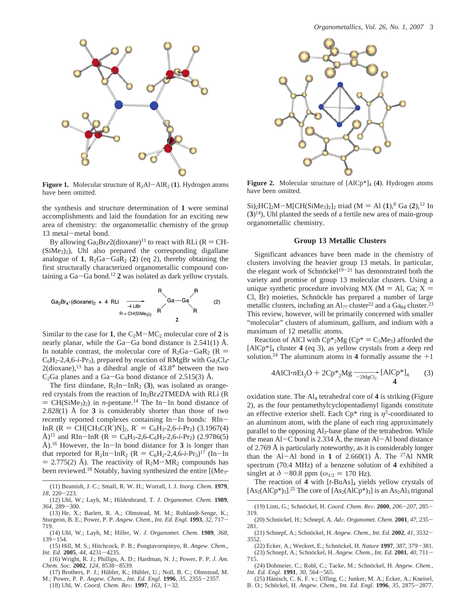

**Figure 1.** Molecular structure of  $R_2A1 - AIR_2$  (1). Hydrogen atoms have been omitted.

the synthesis and structure determination of **1** were seminal accomplishments and laid the foundation for an exciting new area of chemistry: the organometallic chemistry of the group 13 metal-metal bond.

By allowing  $Ga_2Br_4 \cdot 2$ (dioxane)<sup>11</sup> to react with RLi (R = CH- $(SiMe<sub>3</sub>)<sub>2</sub>$ ), Uhl also prepared the corresponding digallane analogue of  $1$ ,  $R_2Ga-GaR_2$  (2) (eq 2), thereby obtaining the first structurally characterized organometallic compound containing a  $Ga - Ga$  bond.<sup>12</sup> 2 was isolated as dark yellow crystals.



Similar to the case for 1, the  $C_2M-MC_2$  molecular core of 2 is nearly planar, while the Ga-Ga bond distance is  $2.541(1)$  Å. In notable contrast, the molecular core of  $R_2Ga-GaR_2$  ( $R =$ C<sub>6</sub>H<sub>2</sub>-2,4,6-*i*-Pr<sub>3</sub>), prepared by reaction of RMgBr with Ga<sub>2</sub>Cl<sub>4</sub>· 2(dioxane),<sup>13</sup> has a dihedral angle of  $43.8^\circ$  between the two  $C_2$ Ga planes and a Ga-Ga bond distance of 2.515(3) Å.

The first diindane,  $R_2In-InR_2$  (3), was isolated as orangered crystals from the reaction of In2Br4·2TMEDA with RLi (R  $= CH(SiMe<sub>3</sub>)<sub>2</sub>$ ) in *n*-pentane.<sup>14</sup> The In-In bond distance of 2.828(1) Å for **3** is considerably shorter than those of two recently reported complexes containing In-In bonds: RIn-InR (R = CH[CH<sub>3</sub>C(R')N]<sub>2</sub>, R' = C<sub>6</sub>H<sub>3</sub>-2,6-*i*-Pr<sub>2</sub>) (3.1967(4) Å)<sup>15</sup> and RIn-InR (R = C<sub>6</sub>H<sub>3</sub>-2,6-C<sub>6</sub>H<sub>3</sub>-2,6-*i*-Pr<sub>2</sub>) (2.9786(5) Å).16 However, the In-In bond distance for **<sup>3</sup>** is longer than that reported for  $R_2In-InR_2$  ( $R = C_6H_2-2,4,6-i-Pr_3$ )<sup>17</sup> (In-In  $= 2.775(2)$  Å). The reactivity of  $R_2M-MR_2$  compounds has been reviewed.<sup>18</sup> Notably, having synthesized the entire [(Me<sub>3</sub>-

- *<sup>18</sup>*, 220-223.
- (12) Uhl, W.; Layh, M.; Hildenbrand, T. *J. Organomet. Chem.* **1989**, *<sup>364</sup>*, 289-300.
- (13) He, X.; Barlett, R. A.; Olmstead, M. M.; Ruhlandt-Senge, K.; Sturgeon, B. E.; Power, P. P. *Angew. Chem., Int. Ed. Engl.* **<sup>1993</sup>**, *<sup>32</sup>*, 717- 719.
- (14) Uhl, W.; Layh, M.; Hiller, W. *J. Organomet. Chem.* **1989**, *368*, <sup>139</sup>-154.
- (15) Hill, M. S.; Hitchcock, P. B.; Pongtavornpinyo, R. *Angew. Chem., Int. Ed.* **<sup>2005</sup>**, *<sup>44</sup>*, 4231-4235.
- (16) Wright, R. J.; Phillips, A. D.; Hardman, N. J.; Power, P. P. *J. Am. Chem. Soc.* **<sup>2002</sup>**, *<sup>124</sup>*, 8538-8539.
- (17) Brothers, P. J.; Hübler, K.; Hübler, U.; Noll, B. C.; Olmstead, M.
- M.; Power, P. P. *Angew. Chem., Int. Ed. Engl.* **<sup>1996</sup>**, *<sup>35</sup>*, 2355-2357. (18) Uhl, W. *Coord. Chem. Re*V*.* **<sup>1997</sup>**, *<sup>163</sup>*, 1-32.



**Figure 2.** Molecular structure of [AlCp\*]4 (**4**). Hydrogen atoms have been omitted.

Si)<sub>2</sub>HC]<sub>2</sub>M-M[CH(SiMe<sub>3</sub>)<sub>2</sub>]<sub>2</sub> triad (M = Al (1),<sup>8</sup> Ga (2),<sup>12</sup> In (**3**)14), Uhl planted the seeds of a fertile new area of main-group organometallic chemistry.

# **Group 13 Metallic Clusters**

Significant advances have been made in the chemistry of clusters involving the heavier group 13 metals. In particular, the elegant work of Schnöckel<sup>19-21</sup> has demonstrated both the variety and promise of group 13 molecular clusters. Using a unique synthetic procedure involving MX ( $M = AI$ , Ga;  $X =$ Cl, Br) moieties, Schnöckle has prepared a number of large metallic clusters, including an  $Al_{77}$  cluster<sup>22</sup> and a Ga<sub>84</sub> cluster.<sup>23</sup> This review, however, will be primarily concerned with smaller "molecular" clusters of aluminum, gallium, and indium with a maximum of 12 metallic atoms.

Reaction of AlCl with  $Cp^*_{2}Mg$  ( $Cp^* = C_5Me_5$ ) afforded the [AlCp\*]4 cluster **4** (eq 3), as yellow crystals from a deep red solution.<sup>24</sup> The aluminum atoms in 4 formally assume the  $+1$ 

$$
4\text{AlCl}\cdot n\text{Et}_2\text{O} + 2\text{Cp}^*_{2}\text{Mg} \xrightarrow{-2\text{MgCl}_2} [\text{AlCp}^*]_4\tag{3}
$$

oxidation state. The  $Al_4$  tetrahedral core of 4 is striking (Figure 2), as the four pentamethylcyclopentadienyl ligands constitute an effective exterior shell. Each  $Cp^*$  ring is  $\eta^5$ -coordinated to an aluminum atom, with the plane of each ring approximately parallel to the opposing Al3-base plane of the tetrahedron. While the mean  $AI-C$  bond is 2.334 Å, the mean  $AI-AI$  bond distance of 2.769 Å is particularly noteworthy, as it is considerably longer than the Al-Al bond in 1 of 2.660(1) Å. The <sup>27</sup>Al NMR spectrum (70.4 MHz) of a benzene solution of **4** exhibited a singlet at  $\delta$  -80.8 ppm ( $\omega_{1/2}$  = 170 Hz). 4AlCl·*n*Et<sub>2</sub>O + 2Cp<sup>\*</sup><sub>2</sub>Mg  $\frac{1}{-2MgCl_2}$ <br>n state. The Al<sub>4</sub> tetrahedral core of 4<br>e four pentamethylcyclopentadienyl<br>tive exterior shell. Each Cp<sup>\*</sup> ring is

The reaction of **4** with [*t*-BuAs]4 yields yellow crystals of (11) Beamish, J. C.; Small, R. W. H.; Worrall, I. J. *Inorg. Chem.* **1979**,<br> $[As_2(AL(p^*)_3]$ <sup>25</sup> The core of  $[As_2(AL(p^*)_3]$  is an As<sub>2</sub>Al<sub>3</sub> trigonal

- (19) Linti, G.; Schnöckel, H. *Coord. Chem. Rev.* 2000, 206-207, 285-319.
- (20) Schno¨ckel, H.; Schnepf, A. *Ad*V*. Organomet. Chem.* **<sup>2001</sup>**, *<sup>47</sup>*, 235- 281.
- (21) Schnepf, A.; Schnöckel, H. Angew. Chem., Int. Ed. 2002, 41, 3532-3552.<br>
(22) Ecker, A.; Weckert, E.; Schnöckel, H. Nature 1997, 387, 379–381.
- (22) Ecker, A.; Weckert, E.; Schnöckel, H. *Nature* **1997**, 387, 379–381.<br>(23) Schnepf, A.: Schnöckel, H. *Angew, Chem. Int. Ed.* 2001–40, 711– (23) Schnepf, A.; Schnöckel, H. *Angew. Chem., Int. Ed.* **2001**, *40*, 711– 715.
- (24) Dohmeier, C.; Robl, C.; Tacke, M.; Schnöckel, H. Angew. Chem., *Int. Ed. Engl.* **1991**, *30*, 564–565.<br>(25) Hänisch, C. K. F. v.; Üffing, C.; Junker, M. A.; Ecker, A.; Kneisel,
- (25) Hänisch, C. K. F. v.; Uffing, C.; Junker, M. A.; Ecker, A.; Kneisel, O · Schöckel H Angew Chem Int Ed Engl 1996 35 2875–2877 B. O.; Scho¨ckel, H. *Angew. Chem., Int. Ed. Engl.* **<sup>1996</sup>**, *<sup>35</sup>*, 2875-2877.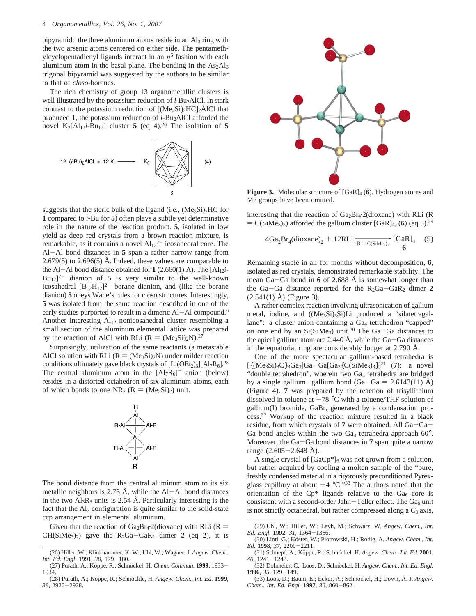bipyramid: the three aluminum atoms reside in an  $Al<sub>3</sub>$  ring with the two arsenic atoms centered on either side. The pentamethylcyclopentadienyl ligands interact in an  $\eta^5$  fashion with each aluminum atom in the basal plane. The bonding in the  $As<sub>2</sub>Al<sub>3</sub>$ trigonal bipyramid was suggested by the authors to be similar to that of *closo*-boranes.

The rich chemistry of group 13 organometallic clusters is well illustrated by the potassium reduction of *i*-Bu<sub>2</sub>AlCl. In stark contrast to the potassium reduction of  $[(Me<sub>3</sub>Si)<sub>2</sub>HC]<sub>2</sub>AIC$  that produced 1, the potassium reduction of *i*-Bu<sub>2</sub>AlCl afforded the novel  $K_2[A]_{12}$ *i*-Bu<sub>12</sub>] cluster **5** (eq 4).<sup>26</sup> The isolation of **5** 



suggests that the steric bulk of the ligand (i.e.,  $(Me<sub>3</sub>Si)<sub>2</sub>HC$  for **1** compared to *i*-Bu for **5**) often plays a subtle yet determinative role in the nature of the reaction product. **5**, isolated in low yield as deep red crystals from a brown reaction mixture, is remarkable, as it contains a novel  $Al_{12}^{2-}$  icosahedral core. The Al-Al bond distances in **<sup>5</sup>** span a rather narrow range from 2.679(5) to 2.696(5) Å. Indeed, these values are comparable to the Al-Al bond distance obtained for 1 (2.660(1) Å). The  $[A]_{12}i$ - $Bu_{12}]^{2-}$  dianion of 5 is very similar to the well-known icosahedral  $[B_{12}H_{12}]^{2-}$  borane dianion, and (like the borane dianion) **5** obeys Wade's rules for closo structures. Interestingly, **5** was isolated from the same reaction described in one of the early studies purported to result in a dimeric Al-Al compound.<sup>6</sup> Another interesting  $Al_{12}$  nonicosahedral cluster resembling a small section of the aluminum elemental lattice was prepared by the reaction of AlCl with RLi  $(R = (Me<sub>3</sub>Si)<sub>2</sub>N).<sup>27</sup>$ 

Surprisingly, utilization of the same reactants (a metastable AlCl solution with RLi  $(R = (Me<sub>3</sub>Si)<sub>2</sub>N)$  under milder reaction conditions ultimately gave black crystals of  $[Li(OEt<sub>2</sub>)<sub>3</sub>][Al<sub>7</sub>R<sub>6</sub>].<sup>28</sup>$ The central aluminum atom in the  $[Al_7R_6]$ <sup>-</sup> anion (below) resides in a distorted octahedron of six aluminum atoms, each of which bonds to one  $NR_2$  ( $R = (Me<sub>3</sub>Si)<sub>2</sub>$ ) unit.



The bond distance from the central aluminum atom to its six metallic neighbors is 2.73 Å, while the  $Al - Al$  bond distances in the two  $Al_3R_3$  units is 2.54 Å. Particularly interesting is the fact that the  $Al<sub>7</sub>$  configuration is quite similar to the solid-state ccp arrangement in elemental aluminum.

Given that the reaction of Ga<sub>2</sub>Br<sub>4</sub><sup>•</sup>2(dioxane) with RLi (R =  $CH(SiMe<sub>3</sub>)<sub>2</sub>$  gave the  $R_2Ga-GaR_2$  dimer 2 (eq 2), it is



**Figure 3.** Molecular structure of  $[GaR]_4$  (6). Hydrogen atoms and Me groups have been omitted.

interesting that the reaction of  $Ga<sub>2</sub>Br<sub>4</sub>$ <sup>-2</sup>(dioxane) with RLi (R  $= C(SiMe<sub>3</sub>)<sub>3</sub>$  afforded the gallium cluster [GaR]<sub>4</sub>, (6) (eq 5).<sup>29</sup>

$$
4Ga_2Br_4(\text{dioxane})_2 + 12RLi \xrightarrow[R = C(SiMe_3)]{} [GaR]_4 \quad (5)
$$

Remaining stable in air for months without decomposition, **6**, isolated as red crystals, demonstrated remarkable stability. The mean Ga-Ga bond in **<sup>6</sup>** of 2.688 Å is somewhat longer than the Ga-Ga distance reported for the  $R_2Ga-GaR_2$  dimer 2 (2.541(1) Å) (Figure 3).  $4Ga_2Br_4(\text{dioxane})_2 + 12RLi \frac{R}{R = C(SiMe_3)_3}$ <br>ining stable in air for months without decade as red crystals, demonstrated remarkable<br>Ga-Ga bond in 6 of 2.688 Å is somewh<br>a-Ga distance reported for the R<sub>2</sub>Ga-(1) Å) (Figure 3).

A rather complex reaction involving ultrasonication of gallium metal, iodine, and ((Me<sub>3</sub>Si)<sub>3</sub>Si)Li produced a "silatetragallane": a cluster anion containing a  $Ga<sub>4</sub>$  tetrahedron "capped" on one end by an  $Si(SiMe<sub>3</sub>)$  unit.<sup>30</sup> The Ga-Ga distances to the apical gallium atom are 2.440 Å, while the  $Ga-Ga$  distances in the equatorial ring are considerably longer at 2.790 Å.

One of the more spectacular gallium-based tetrahedra is  $[{({Me<sub>3</sub>Si)<sub>3</sub>C}<sub>3</sub>Ga<sub>3</sub>]}Ga - Ga[Ga<sub>3</sub>{C(SiMe<sub>3</sub>)<sub>3</sub>}]^{31}$  (7): a novel "double tetrahedron", wherein two Ga<sub>4</sub> tetrahedra are bridged by a single gallium-gallium bond (Ga-Ga =  $2.6143(11)$  Å) (Figure 4). **7** was prepared by the reaction of trisyllithium dissolved in toluene at  $-78$  °C with a toluene/THF solution of gallium(I) bromide, GaBr, generated by a condensation process.32 Workup of the reaction mixture resulted in a black residue, from which crystals of **<sup>7</sup>** were obtained. All Ga-Ga-Ga bond angles within the two Ga<sub>4</sub> tetrahedra approach  $60^{\circ}$ . Moreover, the Ga-Ga bond distances in 7 span quite a narrow range (2.605-2.648 Å).

A single crystal of  $[GaCp^*]_6$  was not grown from a solution, but rather acquired by cooling a molten sample of the "pure, freshly condensed material in a rigorously preconditioned Pyrexglass capillary at about  $+4$  °C."<sup>33</sup> The authors noted that the orientation of the  $Cp^*$  ligands relative to the  $Ga_6$  core is consistent with a second-order Jahn-Teller effect. The  $Ga<sub>6</sub>$  unit is not strictly octahedral, but rather compressed along a  $C_3$  axis,

<sup>(26)</sup> Hiller, W.; Klinkhammer, K. W.; Uhl, W.; Wagner, J. *Angew. Chem., Int. Ed. Engl.* **<sup>1991</sup>**, *<sup>30</sup>*, 179-180.

<sup>(27)</sup> Purath, A.; Köppe, R.; Schnöckel, H. *Chem. Commun*. **1999**, 1933–<br>34. 1934.

<sup>(28)</sup> Purath, A.; Köppe, R.; Schnöckle, H. *Angew. Chem., Int. Ed.* 1999, *<sup>38</sup>*, 2926-2928.

<sup>(29)</sup> Uhl, W.; Hiller, W.; Layh, M.; Schwarz, W. *Angew. Chem., Int. Ed. Engl.* **<sup>1992</sup>**, *<sup>31</sup>*, 1364-1366.

<sup>(30)</sup> Linti, G.; Köster, W.; Piotrowski, H.; Rodig, A. Angew. Chem., Int. *Ed.* **<sup>1998</sup>**, *<sup>37</sup>*, 2209-2211.

<sup>(31)</sup> Schnepf, A.; Köppe, R.; Schnöckel, H. *Angew. Chem., Int. Ed.* **2001**,  $40$  1241–1243 40, 1241–1243.<br>
(32) Dohmeier, C.; Loos, D.; Schnöckel, H. *Angew. Chem., Int. Ed. Engl.* 

**<sup>1996</sup>**, *<sup>35</sup>*, 129-149.

<sup>(33)</sup> Loos, D.; Baum, E.; Ecker, A.; Schnöckel, H.; Down, A. J. *Angew. Chem., Int. Ed. Engl.* **<sup>1997</sup>**, *<sup>36</sup>*, 860-862.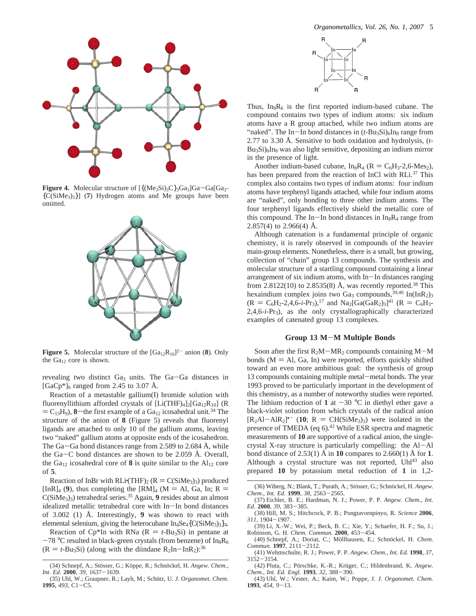

**Figure 4.** Molecular structure of  $[{({Me}_3Si)_3C}_3Ga_3]Ga - Ga[Ga_3-$ {C(SiMe3)3}] (**7**) Hydrogen atoms and Me groups have been omitted.



**Figure 5.** Molecular structure of the  $[Ga_{12}R_{10}]^{2-}$  anion (8). Only the  $Ga_{12}$  core is shown.

revealing two distinct  $Ga<sub>3</sub>$  units. The  $Ga-Ga$  distances in  $[GaCp^*]_6$  ranged from 2.45 to 3.07 Å.

Reaction of a metastable gallium(I) bromide solution with fluorenyllithium afforded crystals of  $[Li(THF)_4]_2[Ga_{12}R_{10}]$  (R  $=C_{13}H_9$ ), 8—the first example of a Ga<sub>12</sub> icosahedral unit.<sup>34</sup> The structure of the anion of **8** (Figure 5) reveals that fluorenyl ligands are attached to only 10 of the gallium atoms, leaving two "naked" gallium atoms at opposite ends of the icosahedron. The Ga $-Ga$  bond distances range from 2.589 to 2.684 Å, while the Ga $-C$  bond distances are shown to be 2.059 Å. Overall, the Ga<sub>12</sub> icosahedral core of **8** is quite similar to the  $Al<sub>12</sub>$  core of **5**.

Reaction of InBr with  $RLi^{(THF)_2}$  ( $R = C(SiMe_3)_3$ ) produced [InR]<sub>4</sub> (9), thus completing the [RM]<sub>4</sub> (M = Al, Ga, In; R = C(SiMe3)3) tetrahedral series.35 Again, **9** resides about an almost idealized metallic tetrahedral core with In-In bond distances of 3.002 (1) Å. Interestingly, **9** was shown to react with elemental selenium, giving the heterocubane  $In_4Se_4{C(SiMe_3)}_3.$ 

Reaction of  $Cp*In$  with RNa  $(R = t-Bu<sub>3</sub>Si)$  in pentane at  $-78$  °C resulted in black-green crystals (from benzene) of In<sub>8</sub>R<sub>6</sub>  $(R = t-Bu_3Si)$  (along with the diindane  $R_2In-InR_2$ ):<sup>36</sup>



Thus,  $In_8R_6$  is the first reported indium-based cubane. The compound contains two types of indium atoms: six indium atoms have a R group attached, while two indium atoms are "naked". The In-In bond distances in  $(t-Bu_3Si)_6In_8$  range from 2.77 to 3.30 Å. Sensitive to both oxidation and hydrolysis, (*t*-Bu<sub>3</sub>Si)<sub>6</sub>In<sub>8</sub> was also light sensitive, depositing an indium mirror in the presence of light.

Another indium-based cubane,  $In_8R_4$  ( $R = C_6H_3-2,6-Mes_2$ ), has been prepared from the reaction of InCl with RLi.<sup>37</sup> This complex also contains two types of indium atoms: four indium atoms have terphenyl ligands attached, while four indium atoms are "naked", only bonding to three other indium atoms. The four terphenyl ligands effectively shield the metallic core of this compound. The In-In bond distances in  $In<sub>8</sub>R<sub>4</sub>$  range from 2.857(4) to 2.966(4) Å.

Although catenation is a fundamental principle of organic chemistry, it is rarely observed in compounds of the heavier main-group elements. Nonetheless, there is a small, but growing, collection of "chain" group 13 compounds. The synthesis and molecular structure of a startling compound containing a linear arrangement of six indium atoms, with In-In distances ranging from 2.8122(10) to 2.8535(8) Å, was recently reported.<sup>38</sup> This hexaindium complex joins two Ga<sub>3</sub> compounds,<sup>39,40</sup> In(InR<sub>2</sub>)<sub>3</sub>  $(R = C_6H_2-2, 4, 6-i-Pr_3),$ <sup>17</sup> and Na<sub>2</sub>[Ga(GaR<sub>2</sub>)<sub>3</sub>]<sup>41</sup> (R = C<sub>6</sub>H<sub>3</sub>-2,4,6-*i*-Pr3), as the only crystallographically characterized examples of catenated group 13 complexes.

# **Group 13 M**-**M Multiple Bonds**

Soon after the first  $R_2M-MR_2$  compounds containing  $M-M$ bonds ( $M = Al$ , Ga, In) were reported, efforts quickly shifted toward an even more ambitious goal: the synthesis of group 13 compounds containing multiple metal-metal bonds. The year 1993 proved to be particularly important in the development of this chemistry, as a number of noteworthy studies were reported. The lithium reduction of 1 at  $-30$  °C in diethyl ether gave a black-violet solution from which crystals of the radical anion  $[R_2Al-AIR_2]$ <sup>\*-</sup> (10; R = CH(SiMe<sub>3</sub>)<sub>3</sub>) were isolated in the presence of TMEDA (eq 6).<sup>42</sup> While ESR spectra and magnetic measurements of **10** are supportive of a radical anion, the singlecrystal X-ray structure is particularly compelling: the Al-Al bond distance of 2.53(1) Å in **10** compares to 2.660(1) Å for **1**. Although a crystal structure was not reported,  $U<sup>43</sup>$  also prepared **10** by potassium metal reduction of **1** in 1,2-

(43) Uhl, W.; Vester, A.; Kaim, W.; Poppe, J. *J. Organomet. Chem.* **<sup>1993</sup>**, *<sup>454</sup>*, 9-13.

<sup>(34)</sup> Schnepf, A.; Stösser, G.; Köppe, R.; Schnöckel, H. *Angew. Chem.*, *Int. Ed.* **<sup>2000</sup>**, *<sup>39</sup>*, 1637-1639.

<sup>(35)</sup> Uhl, W.; Graupner, R.; Layh, M.; Schütz, U. *J. Organomet. Chem.* **<sup>1995</sup>**, *<sup>493</sup>*, C1-C5.

<sup>(36)</sup> Wiberg, N.; Blank, T.; Purath, A.; Stösser, G.; Schnöckel, H. Angew. *Chem., Int. Ed.* **<sup>1999</sup>**, *<sup>38</sup>*, 2563-2565.

<sup>(37)</sup> Eichler, B. E.; Hardman, N. J.; Power, P. P. *Angew. Chem., Int. Ed.* **<sup>2000</sup>**, *<sup>39</sup>*, 383-385.

<sup>(38)</sup> Hill, M. S.; Hitchcock, P. B.; Pongtavornpinyo, R. *Science* **2006**, *<sup>311</sup>*, 1904-1907.

<sup>(39)</sup> Li, X.-W.; Wei, P.; Beck, B. C.; Xie, Y.; Schaefer, H. F.; Su, J.; Robinson, G. H. *Chem. Commun.* **<sup>2000</sup>**, 453-454.

<sup>(40)</sup> Schnepf, A.; Doriat, C.; Möllhausen, E.; Schnöckel, H. Chem. *Commun.* **<sup>1997</sup>**, 2111-2112.

<sup>(41)</sup> Wehmschulte, R. J.; Power, P. P. *Angew. Chem., Int. Ed.* **1998**, *37*, <sup>3152</sup>-3154. (42) Pluta, C.; Po¨rschke, K.-R.; Kru¨ger, C.; Hildenbrand, K. *Angew.*

*Chem., Int. Ed. Engl.* **<sup>1993</sup>**, *<sup>32</sup>*, 388-390.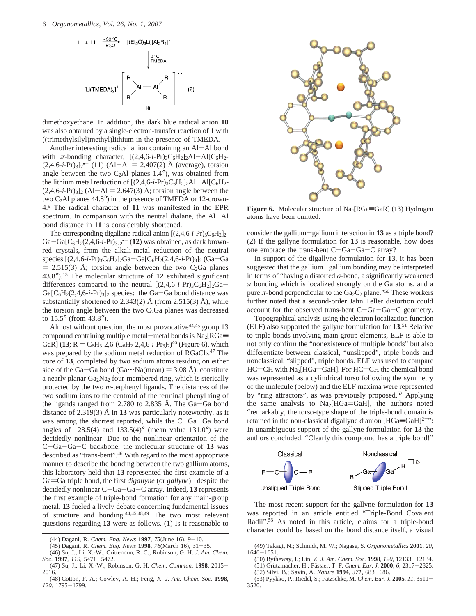

dimethoxyethane. In addition, the dark blue radical anion **10** was also obtained by a single-electron-transfer reaction of **1** with ((trimethylsilyl)methyl)lithium in the presence of TMEDA.

Another interesting radical anion containing an Al-Al bond with *π*-bonding character, [(2,4,6-*i*-Pr)<sub>3</sub>C<sub>6</sub>H<sub>2</sub>]<sub>2</sub>Al-Al[C<sub>6</sub>H<sub>2</sub>- $(2,4,6-i$ -Pr)<sub>3</sub>]<sub>2</sub><sup>•-</sup> (11)  $(AI-AI = 2.407(2)$  Å (average), torsion angle between the two C<sub>2</sub>Al planes 1.4<sup>°</sup>) was obtained from angle between the two C<sub>2</sub>Al planes  $1.4^{\circ}$ ), was obtained from the lithium metal reduction of  $[(2,4,6-i-Pr)_{3}C_{6}H_{2}]_{2}$ Al-Al $[C_{6}H_{2}$ - $(2,4,6-i$ -Pr $)_{3}]_{2}$  (Al-Al = 2.647(3) Å; torsion angle between the two  $C_2$ Al planes 44.8°) in the presence of TMEDA or 12-crown-4.9 The radical character of **11** was manifested in the EPR spectrum. In comparison with the neutral dialane, the Al-Al bond distance in **11** is considerably shortened.

The corresponding digallane radical anion  $[(2,4,6-i$ -Pr $)\text{S}_{6}H_{2}]_{2}$ - $Ga - Ga [C_6H_2(2, 4, 6-i-Pr)_3]_2^{\bullet -}$  (12) was obtained, as dark brownred crystals, from the alkali-metal reduction of the neutral species [(2,4,6-*i*-Pr)3C6H2]2Ga-Ga[C6H2(2,4,6-*i*-Pr)3]2 (Ga-Ga  $= 2.515(3)$  Å; torsion angle between the two C<sub>2</sub>Ga planes 43.8°).13 The molecular structure of **12** exhibited significant differences compared to the neutral  $[(2,4,6-i-Pr)_{3}C_{6}H_{2}]_{2}Ga Ga[C_6H_2(2,4,6-i-Pr)_3]_2$  species: the  $Ga-Ga$  bond distance was substantially shortened to 2.343(2)  $\AA$  (from 2.515(3)  $\AA$ ), while the torsion angle between the two  $C_2Ga$  planes was decreased to 15.5° (from 43.8°).

Almost without question, the most provocative<sup>44,45</sup> group 13 compound containing multiple metal-metal bonds is  $Na<sub>2</sub>[RGa$ GaR] (13; R = C<sub>6</sub>H<sub>3</sub>-2,6-(C<sub>6</sub>H<sub>2</sub>-2,4,6-*i*-Pr<sub>3</sub>)<sub>2</sub><sup>46</sup> (Figure 6), which was prepared by the sodium metal reduction of RGaCl<sub>2</sub>.<sup>47</sup> The core of **13**, completed by two sodium atoms residing on either side of the Ga-Ga bond (Ga $\cdot\cdot\cdot$ Na(mean) = 3.08 Å), constitute a nearly planar Ga<sub>2</sub>Na<sub>2</sub> four-membered ring, which is sterically protected by the two *m*-terphenyl ligands. The distances of the two sodium ions to the centroid of the terminal phenyl ring of the ligands ranged from 2.780 to 2.835 Å. The Ga-Ga bond distance of 2.319(3) Å in **13** was particularly noteworthy, as it was among the shortest reported, while the  $C-Ga-Ga$  bond angles of  $128.5(4)$  and  $133.5(4)$ ° (mean value  $131.0$ °) were decidedly nonlinear. Due to the nonlinear orientation of the <sup>C</sup>-Ga-Ga-C backbone, the molecular structure of **<sup>13</sup>** was described as "trans-bent".46 With regard to the most appropriate manner to describe the bonding between the two gallium atoms, this laboratory held that **13** represented the first example of a Ga=Ga triple bond, the first *digallyne* (or *gallyne*)—despite the decidedly nonlinear C-Ga-Ga-C array. Indeed, **<sup>13</sup>** represents the first example of triple-bond formation for any main-group metal. **13** fueled a lively debate concerning fundamental issues of structure and bonding.44,45,48,49 The two most relevant questions regarding **13** were as follows. (1) Is it reasonable to



**Figure 6.** Molecular structure of  $\text{Na}_2[\text{RGa} \equiv \text{GaR}]$  (13) Hydrogen atoms have been omitted.

consider the gallium-gallium interaction in **<sup>13</sup>** as a triple bond? (2) If the gallyne formulation for **13** is reasonable, how does one embrace the trans-bent C-Ga-Ga-C array?

In support of the digallyne formulation for **13**, it has been suggested that the gallium-gallium bonding may be interpreted in terms of "having a distorted *σ*-bond, a significantly weakened  $\pi$  bonding which is localized strongly on the Ga atoms, and a pure  $\pi$ -bond perpendicular to the Ga<sub>2</sub>C<sub>2</sub> plane."<sup>50</sup> These workers further noted that a second-order Jahn Teller distortion could account for the observed trans-bent C-Ga-Ga-C geometry.

Topographical analysis using the electron localization function (ELF) also supported the gallyne formulation for **13**. <sup>51</sup> Relative to triple bonds involving main-group elements, ELF is able to not only confirm the "nonexistence of multiple bonds" but also differentiate between classical, "unslipped", triple bonds and nonclassical, "slipped", triple bonds. ELF was used to compare  $HC=CH$  with Na<sub>2</sub>[HGa=GaH]. For HC=CH the chemical bond was represented as a cylindrical torso following the symmetry of the molecule (below) and the ELF maxima were represented by "ring attractors", as was previously proposed.<sup>52</sup> Applying the same analysis to  $Na<sub>2</sub>[HGa \equiv GaH]$ , the authors noted "remarkably, the torso-type shape of the triple-bond domain is retained in the non-classical digallyne dianion  $[HGa \equiv GaH]^{2-\gamma}$ : In unambiguous support of the gallyne formulation for **13** the authors concluded, "Clearly this compound has a triple bond!"



The most recent support for the gallyne formulation for **13** was reported in an article entitled "Triple-Bond Covalent Radii". $53$  As noted in this article, claims for a triple-bond character could be based on the bond distance itself, a visual

<sup>(44)</sup> Dagani, R. *Chem. Eng. News* **<sup>1997</sup>**, *<sup>75</sup>*(June 16), 9-10.

<sup>(45)</sup> Dagani, R. *Chem. Eng. News* **<sup>1998</sup>**, *<sup>76</sup>*(March 16), 31-35.

<sup>(46)</sup> Su, J.; Li, X.-W.; Crittendon, R. C.; Robinson, G. H. *J. Am. Chem. Soc.* **<sup>1997</sup>**, *<sup>119</sup>*, 5471-5472.

<sup>(47)</sup> Su, J.; Li, X.-W.; Robinson, G. H. *Chem. Commun.* **<sup>1998</sup>**, 2015- 2016.

<sup>(48)</sup> Cotton, F. A.; Cowley, A. H.; Feng, X. *J. Am. Chem. Soc.* **1998**, *<sup>120</sup>*, 1795-1799.

<sup>(49)</sup> Takagi, N.; Schmidt, M. W.; Nagase, S. *Organometallics* **2001**, *20*, <sup>1646</sup>-1651.

<sup>(50)</sup> Bytheway, I.; Lin, Z. *J. Am. Chem. Soc.* **<sup>1998</sup>**, *<sup>120</sup>*, 12133-12134. (51) Gru¨tzmacher, H.; Fa¨ssler, T. F. *Chem. Eur. J.* **<sup>2000</sup>**, *<sup>6</sup>*, 2317-2325.

<sup>(52)</sup> Silvi, B.; Savin, A. *Nature* **<sup>1994</sup>**, *<sup>371</sup>*, 683-686.

<sup>(53)</sup> Pyykko¨, P.; Riedel, S.; Patzschke, M. *Chem. Eur. J.* **<sup>2005</sup>**, *<sup>11</sup>*, 3511- 3520.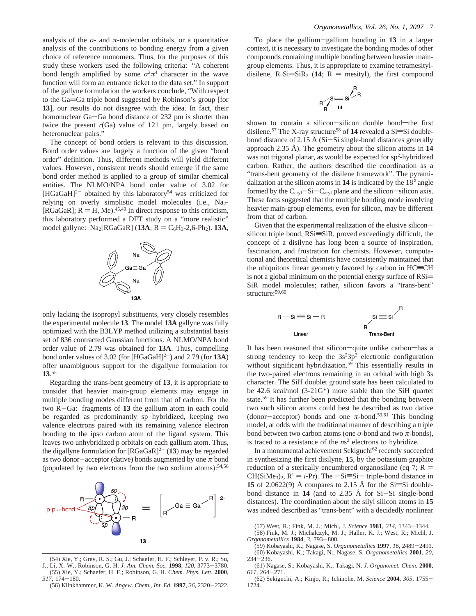analysis of the  $\sigma$ - and  $\pi$ -molecular orbitals, or a quantitative analysis of the contributions to bonding energy from a given choice of reference monomers. Thus, for the purposes of this study these workers used the following criteria: "A coherent bond length amplified by some  $\sigma^2 \pi^4$  character in the wave function will form an entrance ticket to the data set." In support of the gallyne formulation the workers conclude, "With respect to the Ga $\equiv$ Ga triple bond suggested by Robinson's group [for **13**], our results do not disagree with the idea. In fact, their homonuclear Ga-Ga bond distance of 232 pm is shorter than twice the present  $r(Ga)$  value of 121 pm, largely based on heteronuclear pairs."

The concept of bond orders is relevant to this discussion. Bond order values are largely a function of the given "bond order" definition. Thus, different methods will yield different values. However, consistent trends should emerge if the same bond order method is applied to a group of similar chemical entities. The NLMO/NPA bond order value of 3.02 for  $[HGaGaH]^{2-}$  obtained by this laboratory<sup>54</sup> was criticized for relying on overly simplistic model molecules (i.e., Na2- $[RGaGaR]$ ;  $R = H$ , Me).<sup>45,49</sup> In direct response to this criticism, this laboratory performed a DFT study on a "more realistic" model gallyne:  $Na_2[RGaGaR]$  (13A;  $R = C_6H_3-2,6-Ph_2$ ). 13A,



only lacking the isopropyl substituents, very closely resembles the experimental molecule **13**. The model **13A** gallyne was fully optimized with the B3LYP method utilizing a substantial basis set of 836 contracted Gaussian functions. A NLMO/NPA bond order value of 2.79 was obtained for **13A**. Thus, compelling bond order values of 3.02 (for [HGaGaH]<sup>2-</sup>) and 2.79 (for **13A**) offer unambiguous support for the digallyne formulation for **13**. 55

Regarding the trans-bent geometry of **13**, it is appropriate to consider that heavier main-group elements may engage in multiple bonding modes different from that of carbon. For the two R-Ga: fragments of **<sup>13</sup>** the gallium atom in each could be regarded as predominantly sp hybridized, keeping two valence electrons paired with its remaining valence electron bonding to the ipso carbon atom of the ligand system. This leaves two unhybridized p orbitals on each gallium atom. Thus, the digallyne formulation for  $[RGaGaR]^2$ <sup>-</sup> (13) may be regarded as two donor-acceptor (dative) bonds augmented by one *<sup>π</sup>* bond (populated by two electrons from the two sodium atoms): $54,56$ 



To place the gallium-gallium bonding in **<sup>13</sup>** in a larger context, it is necessary to investigate the bonding modes of other compounds containing multiple bonding between heavier maingroup elements. Thus, it is appropriate to examine tetramesityldisilene,  $R_2Si = SiR_2$  (14;  $R = \text{mesityl}$ ), the first compound

$$
\mathsf{R}_{\mathsf{R}}^{\mathsf{Si}=\mathsf{Si}^{\prime\mathsf{R}}}_{\mathsf{R}}
$$

shown to contain a silicon-silicon double bond-the first disilene.<sup>57</sup> The X-ray structure<sup>58</sup> of  $14$  revealed a Si=Si doublebond distance of 2.15 Å (Si-Si single-bond distances generally approach 2.35 Å). The geometry about the silicon atoms in **14** was not trigonal planar, as would be expected for sp<sup>2</sup>-hybridized carbon. Rather, the authors described the coordination as a "trans-bent geometry of the disilene framework". The pyramidalization at the silicon atoms in **14** is indicated by the 18° angle formed by the  $C_{\text{aryl}}-Si-C_{\text{aryl}}$  plane and the silicon-silicon axis. These facts suggested that the multiple bonding mode involving heavier main-group elements, even for silicon, may be different from that of carbon.

Given that the experimental realization of the elusive siliconsilicon triple bond,  $RSi \equiv SiR$ , proved exceedingly difficult, the concept of a disilyne has long been a source of inspiration, fascination, and frustration for chemists. However, computational and theoretical chemists have consistently maintained that the ubiquitous linear geometry favored by carbon in  $HC=CH$ is not a global minimum on the potential energy surface of  $RSi \equiv$ SiR model molecules; rather, silicon favors a "trans-bent" structure: 59,60

$$
R-Si \equiv Si-R
$$
\n
$$
Si \equiv Si
$$
\n
$$
F
$$
\n
$$
F
$$
\n
$$
Trans-Bent
$$

It has been reasoned that silicon-quite unlike carbon-has a strong tendency to keep the  $3s^23p^2$  electronic configuration without significant hybridization.<sup>59</sup> This essentially results in the two-paired electrons remaining in an orbital with high 3s character. The SiH doublet ground state has been calculated to be 42.6 kcal/mol (3-21G\*) more stable than the SiH quartet state.59 It has further been predicted that the bonding between two such silicon atoms could best be described as two dative (donor-acceptor) bonds and one *<sup>π</sup>*-bond.59,61 This bonding model, at odds with the traditional manner of describing a triple bond between two carbon atoms (one  $\sigma$ -bond and two  $\pi$ -bonds), is traced to a resistance of the  $ns^2$  electrons to hybridize.

In a monumental achievement Sekiguchi<sup>62</sup> recently succeeded in synthesizing the first disilyne, **15**, by the potassium graphite reduction of a sterically encumbered organosilane (eq 7;  $R =$  $CH(SiMe<sub>3</sub>)<sub>2</sub>$ ,  $R' = i$ -Pr). The  $-Si \equiv Si$ - triple-bond distance in **15** of 2.0622(9) Å compares to 2.15 Å for the Si=Si doublebond distance in **<sup>14</sup>** (and to 2.35 Å for Si-Si single-bond distances). The coordination about the silyl silicon atoms in **15** was indeed described as "trans-bent" with a decidedly nonlinear

<sup>(57)</sup> West, R.; Fink, M. J.; Michl, J. *Science* **<sup>1981</sup>**, *<sup>214</sup>*, 1343-1344. (58) Fink, M. J.; Michalczyk, M. J.; Haller, K. J.; West, R.; Michl, J. *Organometallics* **<sup>1984</sup>**, *<sup>3</sup>*, 793-800.

<sup>(59)</sup> Kobayashi, K.; Nagase, S. *Organometallics* **<sup>1997</sup>**, *<sup>16</sup>*, 2489-2491. (60) Kobayashi, K.; Takagi, N.; Nagase, S. *Organometallics* **2001**, *20*,  $234 - 236$ .

<sup>(61)</sup> Nagase, S.; Kobayashi, K.; Takagi, N. *J. Organomet. Chem.* **2000**, *<sup>611</sup>*, 264-271.

<sup>(62)</sup> Sekiguchi, A.; Kinjo, R.; Ichinohe, M. *Science* **<sup>2004</sup>**, *<sup>305</sup>*, 1755- 1724.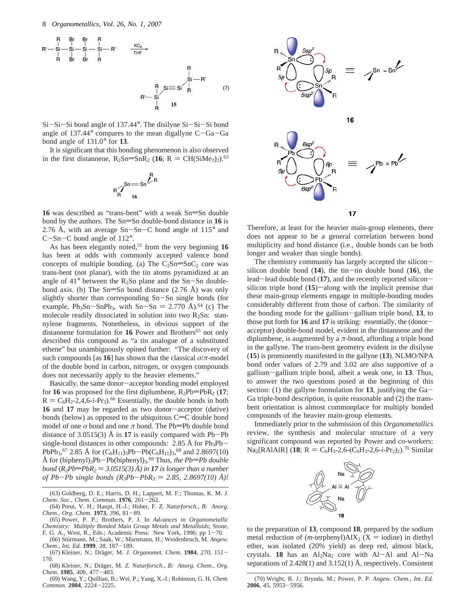

Si-Si-Si bond angle of 137.44°. The disilyne Si-Si-Si bond angle of  $137.44^{\circ}$  compares to the mean digallyne C-Ga-Ga bond angle of 131.0° for **13**.

It is significant that this bonding phenomenon is also observed in the first distannene,  $R_2Sn = SnR_2$  (16; R = CH(SiMe<sub>3</sub>)<sub>2</sub>).<sup>63</sup>

$$
\text{R}^{\text{Sn}}_{\text{R}} = \text{Sn}^{\text{R}}_{\text{R}}
$$

16 was described as "trans-bent" with a weak Sn=Sn double bond by the authors. The Sn=Sn double-bond distance in 16 is 2.76 Å, with an average  $Sn-Sn-C$  bond angle of 115 $^{\circ}$  and <sup>C</sup>-Sn-C bond angle of 112°.

As has been elegantly noted,<sup>51</sup> from the very beginning 16 has been at odds with commonly accepted valence bond concepts of multiple bonding. (a) The  $C_2Sn = SnC_2$  core was trans-bent (not planar), with the tin atoms pyramidized at an angle of  $41^\circ$  between the R<sub>2</sub>Sn plane and the Sn-Sn doublebond axis. (b) The Sn=Sn bond distance  $(2.76 \text{ Å})$  was only slightly shorter than corresponding Sn-Sn single bonds (for example, Ph<sub>3</sub>Sn-SnPh<sub>3</sub>, with Sn-Sn = 2.770 Å).<sup>64</sup> (c) The molecule readily dissociated in solution into two  $R_2Sn$ : stannylene fragments. Nonetheless, in obvious support of the distannene formulation for 16 Power and Brothers<sup>65</sup> not only described this compound as "a tin analogue of a substituted ethene" but unambiguously opined further: "The discovery of such compounds [as **16**] has shown that the classical *σ*/*π*-model of the double bond in carbon, nitrogen, or oxygen compounds does not necessarily apply to the heavier elements."

Basically, the same donor-acceptor bonding model employed for **16** was proposed for the first diplumbene,  $R_2Pb = PbR_2 (17;$  $R = C_6H_2-2,4,6-i$ -Pr<sub>3</sub>).<sup>66</sup> Essentially, the double bonds in both **<sup>16</sup>** and **<sup>17</sup>** may be regarded as two donor-acceptor (dative) bonds (below) as opposed to the ubiquitous  $C=C$  double bond model of one  $\sigma$  bond and one  $\pi$  bond. The Pb=Pb double bond distance of 3.0515(3) Å in **<sup>17</sup>** is easily compared with Pb-Pb single-bond distances in other compounds: 2.85 Å for  $Ph_3Pb-$ PbPh<sub>3</sub>,<sup>67</sup> 2.85 Å for  $(C_6H_{11})_3Pb-Pb(C_6H_{11})_3$ ,<sup>68</sup> and 2.8697(10)<br>
<sup>8</sup> for (binhenyl)-Pb-Pb(binhenyl), <sup>69</sup> Thus *the Pb=Pb double* Å for (biphenyl)<sub>3</sub>Pb-Pb(biphenyl)<sub>3</sub>.<sup>69</sup> Thus, *the Pb=Pb double*<br>bond (*R*<sub>2</sub>*Pb*=*PbR<sub>2</sub>* = 3.0515(3) Å) in **17** is longer than a number *bond* ( $R_2Pb = PbR_2 = 3.0515(3)$  Å) in 17 is longer than a number *of Pb-Pb single bonds*  $(R_3Pb-PbR_3 = 2.85, 2.8697(10)$  Å)!

F. G. A., West, R., Eds.; Academic Press: New York, 1996; pp 1-70. (66) Stürmann, M.; Saak, W.; Marsmann, H.; Weidenbruch, M. Angew.

- *Chem., Int. Ed.* **<sup>1999</sup>**, *<sup>38</sup>*, 187-189. (67) Kleiner, N.; Dräger, M. *J. Organomet. Chem.* **1984**, 270, 151-
- 170. (68) Kleiner, N.; Dräger, M. Z. Naturforsch., B: Anorg. Chem., Org.
- *Chem.* **<sup>1985</sup>**, *40b*, 477-483.

(69) Wang, Y.; Quillian, B.; Wei, P.; Yang, X.-J.; Robinson, G. H. *Chem. Commun.* **<sup>2004</sup>**, 2224-2225.



Therefore, at least for the heavier main-group elements, there does not appear to be a general correlation between bond multiplicity and bond distance (i.e., double bonds can be both longer and weaker than single bonds).

The chemistry community has largely accepted the siliconsilicon double bond  $(14)$ , the tin-tin double bond  $(16)$ , the lead-lead double bond (**17**), and the recently reported siliconsilicon triple bond  $(15)$ —along with the implicit premise that these main-group elements engage in multiple-bonding modes considerably different from those of carbon. The similarity of the bonding mode for the gallium-gallium triple bond, **<sup>13</sup>**, to those put forth for **<sup>16</sup>** and **<sup>17</sup>** is striking: essentially, the (donoracceptor) double-bond model, evident in the distannene and the diplumbene, is augmented by a  $\pi$ -bond, affording a triple bond in the gallyne. The trans-bent geometry evident in the disilyne (**15**) is prominently manifested in the gallyne (**13**). NLMO/NPA bond order values of 2.79 and 3.02 are also supportive of a gallium-gallium triple bond, albeit a weak one, in **<sup>13</sup>**. Thus, to answer the two questions posed at the beginning of this section: (1) the gallyne formulation for **<sup>13</sup>**, justifying the Ga-Ga triple-bond description, is quite reasonable and (2) the transbent orientation is almost commonplace for multiply bonded compounds of the heavier main-group elements.

Immediately prior to the submission of this *Organometallics* review, the synthesis and molecular structure of a very significant compound was reported by Power and co-workers:  $Na_2[RAlAlR]$  (18; R = C<sub>6</sub>H<sub>3</sub>-2,6-(C<sub>6</sub>H<sub>3</sub>-2,6-*i*-Pr<sub>2</sub>)<sub>2</sub>).<sup>70</sup> Similar



to the preparation of **13**, compound **18**, prepared by the sodium metal reduction of  $(m$ -terphenyl) $AIX_2$  ( $X =$ iodine) in diethyl ether, was isolated (20% yield) as deep red, almost black, crystals. **18** has an  $Al_2Na_2$  core with  $Al-Al$  and  $Al-Na$ separations of 2.428(1) and 3.152(1) Å, respectively. Consistent

<sup>(63)</sup> Goldberg, D. E.; Harris, D. H.; Lappert, M. F.; Thomas, K. M. *J. Chem. Soc., Chem. Commun.* **<sup>1976</sup>**, 261-262.

<sup>(64)</sup> Preut, V. H.; Haupt, H.-J.; Huber, F. *Z. Naturforsch., B: Anorg. Chem., Org. Chem.* **<sup>1973</sup>**, *<sup>396</sup>*, 81-89.

<sup>(65)</sup> Power, P. P.; Brothers, P. J. In *Ad*V*ances in Organometallic Chemistry: Multiply Bonded Main Group Metals and Metalloids*; Stone,

<sup>(70)</sup> Wright, R. J.; Brynda, M.; Power, P. P. *Angew. Chem., Int. Ed.* **<sup>2006</sup>**, *<sup>45</sup>*, 5953-5956.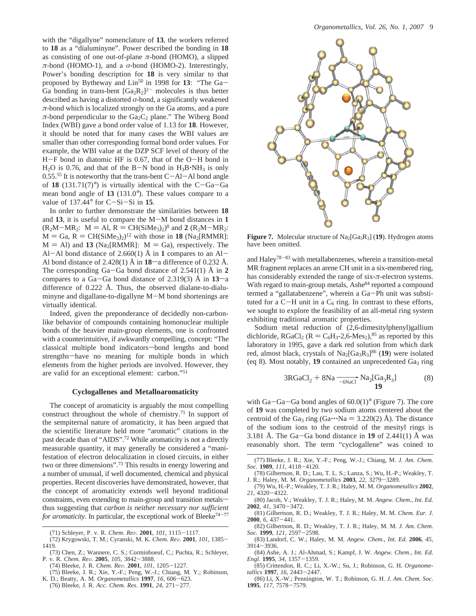with the "digallyne" nomenclature of **13**, the workers referred to **18** as a "dialuminyne". Power described the bonding in **18** as consisting of one out-of-plane  $\pi$ -bond (HOMO), a slipped *π*-bond (HOMO-1), and a *σ*-bond (HOMO-2). Interestingly, Power's bonding description for **18** is very similar to that proposed by Bytheway and Lin<sup>50</sup> in 1998 for 13: "The Ga-Ga bonding in trans-bent  $[Ga_2R_2]^2$  molecules is thus better described as having a distorted *σ*-bond, a significantly weakened *π*-bond which is localized strongly on the Ga atoms, and a pure  $\pi$ -bond perpendicular to the Ga<sub>2</sub>C<sub>2</sub> plane." The Wiberg Bond Index (WBI) gave a bond order value of 1.13 for **18**. However, it should be noted that for many cases the WBI values are smaller than other corresponding formal bond order values. For example, the WBI value at the DZP SCF level of theory of the <sup>H</sup>-F bond in diatomic HF is 0.67, that of the O-H bond in  $H_2O$  is 0.76, and that of the B-N bond in  $H_3B\cdot NH_3$  is only  $0.55^{55}$  It is noteworthy that the trans-bent C-Al-Al bond angle of **18** (131.71(7)<sup>o</sup>) is virtually identical with the  $C-Ga-Ga$ mean bond angle of **13** (131.0°). These values compare to a value of 137.44° for C-Si-Si in **<sup>15</sup>**.

In order to further demonstrate the similarities between **18** and **<sup>13</sup>**, it is useful to compare the M-M bond distances in **<sup>1</sup>**  $(R_2M-MR_2$ :  $M = Al$ ,  $R = CH(SiMe_3)_2)^8$  and **2**  $(R_2M-MR_2$ :  $M = Ga$ ,  $R = CH(SiMe<sub>3</sub>)<sub>2</sub>)<sup>12</sup>$  with those in **18** (Na<sub>2</sub>[RMMR]:  $M = Al$ ) and **13** (Na<sub>2</sub>[RMMR]:  $M = Ga$ ), respectively. The Al-Al bond distance of 2.660(1)  $\AA$  in 1 compares to an Al-Al bond distance of 2.428(1)  $\AA$  in  $18$ —a difference of 0.232  $\AA$ . The corresponding Ga-Ga bond distance of 2.541(1) Å in **<sup>2</sup>** compares to a Ga-Ga bond distance of 2.319(3)  $\AA$  in 13-a difference of 0.222 Å. Thus, the observed dialane-to-dialuminyne and digallane-to-digallyne M-M bond shortenings are virtually identical.

Indeed, given the preponderance of decidedly non-carbonlike behavior of compounds containing homonuclear multiple bonds of the heavier main-group elements, one is confronted with a counterintuitive, if awkwardly compelling, concept: "The classical multiple bond indicators-bond lengths and bond strengths—have no meaning for multiple bonds in which elements from the higher periods are involved. However, they are valid for an exceptional element: carbon."51

#### **Cyclogallenes and Metalloaromaticity**

The concept of aromaticity is arguably the most compelling construct throughout the whole of chemistry.<sup>71</sup> In support of the sempiternal nature of aromaticity, it has been argued that the scientific literature held more "aromatic" citations in the past decade than of "AIDS".72 While aromaticity is not a directly measurable quantity, it may generally be considered a "manifestation of electron delocalization in closed circuits, in either two or three dimensions".73 This results in energy lowering and a number of unusual, if well documented, chemical and physical properties. Recent discoveries have demonstrated, however, that the concept of aromaticity extends well beyond traditional constraints, even extending to main-group and transition metalsthus suggesting that *carbon is neither necessary nor sufficient for aromaticity*. In particular, the exceptional work of Bleeke<sup>74-77</sup>

- K. D.; Beatty, A. M. *Organometallics* **<sup>1997</sup>**, *<sup>16</sup>*, 606-623.
- (76) Bleeke, J. R. *Acc. Chem. Res.* **<sup>1991</sup>**, *<sup>24</sup>*, 271-277.



**Figure 7.** Molecular structure of Na<sub>2</sub>[Ga<sub>3</sub>R<sub>3</sub>] (19). Hydrogen atoms have been omitted.

and Haley<sup>78-83</sup> with metallabenzenes, wherein a transition-metal MR fragment replaces an arene CH unit in a six-membered ring, has considerably extended the range of six-*π*-electron systems. With regard to main-group metals, Ashe<sup>84</sup> reported a compound termed a "gallatabenzene", wherein a Ga-Ph unit was substituted for a  $C-H$  unit in a  $C_6$  ring. In contrast to these efforts, we sought to explore the feasibility of an all-metal ring system exhibiting traditional aromatic properties.

Sodium metal reduction of (2,6-dimesitylphenyl)gallium dichloride,  $RGaCl<sub>2</sub>$  ( $R = C<sub>6</sub>H<sub>3</sub> - 2.6$ -Mes<sub>2</sub>),<sup>85</sup> as reported by this laboratory in 1995, gave a dark red solution from which dark red, almost black, crystals of Na<sub>2</sub>[Ga<sub>3</sub>R<sub>3</sub>]<sup>86</sup> (19) were isolated (eq 8). Most notably,  $19$  contained an unprecedented  $Ga<sub>3</sub>$  ring

$$
3RGaCl_2 + 8Na \xrightarrow{-6NaCl} Na_2[Ga_3R_3] \tag{8}
$$

with Ga-Ga-Ga bond angles of  $60.0(1)^\circ$  (Figure 7). The core of 19 was completed by two sodium atoms centered about the of **19** was completed by two sodium atoms centered about the centroid of the Ga<sub>3</sub> ring (Ga $\cdots$ Na = 3.220(2) Å). The distance of the sodium ions to the centroid of the mesityl rings is 3.181 Å. The Ga $-Ga$  bond distance in **19** of 2.441(1) Å was reasonably short. The term "cyclogallene" was coined to  $3RGaCl_2 + 8Na \overline{)}$ <br>  $-Ga$  bond angles of 60.0<br>
ompleted by two sodium<br>
he Ga<sub>2</sub> ring (Ga····Na = 3

- (78) Gilbertson, R. D.; Lau, T. L. S.; Lanza, S.; Wu, H.-P.; Weakley, T. J. R.; Haley, M. M. *Organometallics* **<sup>2003</sup>**, *<sup>22</sup>*, 3279-3289.
- (79) Wu, H.-P.; Weakley, T. J. R.; Haley, M. M. *Organometallics* **2002**,
- *<sup>21</sup>*, 4320-4322. (80) Jacob, V.; Weakley, T. J. R.; Haley, M. M. *Angew. Chem., Int. Ed.* **<sup>2002</sup>**, *<sup>41</sup>*, 3470-3472.
- (81) Gilbertson, R. D.; Weakley, T. J. R.; Haley, M. M. *Chem. Eur. J.* **<sup>2000</sup>**, *<sup>6</sup>*, 437-441.
- (82) Gilbertson, R. D.; Weakley, T. J. R.; Haley, M. M. *J. Am. Chem.*
- *Soc.* **<sup>1999</sup>**, *<sup>121</sup>*, 2597-2598. (83) Landorf, C. W.; Haley, M. M. *Angew. Chem., Int. Ed.* **2006**, *45*, <sup>3914</sup>-3936.
- (84) Ashe, A. J.; Al-Ahmad, S.; Kampf, J. W. *Angew. Chem., Int. Ed. Engl.* **<sup>1995</sup>**, *<sup>34</sup>*, 1357-1359.
- (85) Crittendon, R. C.; Li, X.-W.; Su, J.; Robinson, G. H. *Organometallics* **<sup>1997</sup>**, *<sup>16</sup>*, 2443-2447.
- (86) Li, X.-W.; Pennington, W. T.; Robinson, G. H. *J. Am. Chem. Soc.* **<sup>1995</sup>**, *<sup>117</sup>*, 7578-7579.

<sup>(71)</sup> Schleyer, P. v. R. *Chem. Re*V*.* **<sup>2001</sup>**, *<sup>101</sup>*, 1115-1117.

<sup>(72)</sup> Krygowski, T. M.; Cyranski, M. K. *Chem. Re*V*.* **<sup>2001</sup>**, *<sup>101</sup>*, 1385- 1419.

<sup>(73)</sup> Chen, Z.; Wannere, C. S.; Corminboeuf, C.; Puchta, R.; Schleyer, P. v. R. *Chem. Re*V*.* **<sup>2005</sup>**, *<sup>105</sup>*, 3842-3888.

<sup>(74)</sup> Bleeke, J. R. *Chem. Re*V*.* **<sup>2001</sup>**, *<sup>101</sup>*, 1205-1227. (75) Bleeke, J. R.; Xie, Y.-F.; Peng, W.-J.; Chiang, M. Y.; Robinson,

<sup>(77)</sup> Bleeke, J. R.; Xie, Y.-F.; Peng, W.-J.; Chiang, M. *J. Am. Chem. Soc.* **<sup>1989</sup>**, *<sup>111</sup>*, 4118-4120.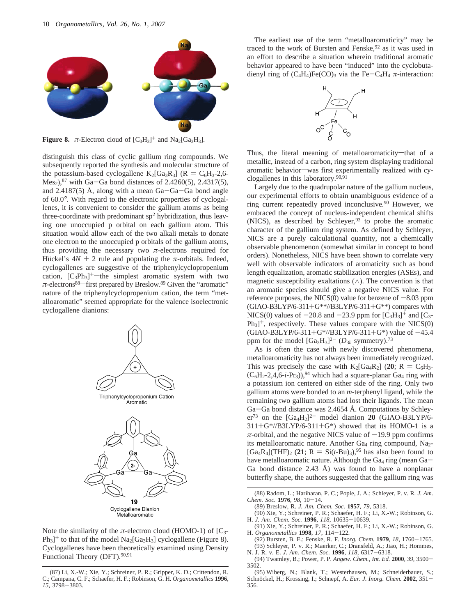

**Figure 8.** *π*-Electron cloud of  $[C_3H_3]^+$  and  $Na_2[Ga_3H_3]$ .

distinguish this class of cyclic gallium ring compounds. We subsequently reported the synthesis and molecular structure of the potassium-based cyclogallene K<sub>2</sub>[Ga<sub>3</sub>R<sub>3</sub>] ( $R = C_6H_3-2,6$ -Mes<sub>2</sub>),<sup>87</sup> with Ga-Ga bond distances of 2.4260(5), 2.4317(5), and 2.4187(5)  $\AA$ , along with a mean Ga-Ga-Ga bond angle of 60.0°. With regard to the electronic properties of cyclogallenes, it is convenient to consider the gallium atoms as being three-coordinate with predominant  $sp<sup>2</sup>$  hybridization, thus leaving one unoccupied p orbital on each gallium atom. This situation would allow each of the two alkali metals to donate one electron to the unoccupied p orbitals of the gallium atoms, thus providing the necessary two *π*-electrons required for Hückel's  $4N + 2$  rule and populating the *π*-orbitals. Indeed, cyclogallenes are suggestive of the triphenylcyclopropenium cation,  $[C_3Ph_3]^+$ -the simplest aromatic system with two  $π$ -electrons<sup>88</sup>—first prepared by Breslow.<sup>89</sup> Given the "aromatic" nature of the triphenylcyclopropenium cation, the term "metalloaromatic" seemed appropriate for the valence isoelectronic cyclogallene dianions:



Note the similarity of the  $\pi$ -electron cloud (HOMO-1) of [C<sub>3</sub>- $Ph_3$ <sup>+</sup> to that of the model Na<sub>2</sub>[Ga<sub>3</sub>H<sub>3</sub>] cyclogallene (Figure 8). Cyclogallenes have been theoretically examined using Density Functional Theory (DFT).<sup>90,91</sup>

The earliest use of the term "metalloaromaticity" may be traced to the work of Bursten and Fenske,  $92$  as it was used in an effort to describe a situation wherein traditional aromatic behavior appeared to have been "induced" into the cyclobutadienyl ring of  $(C_4H_4)Fe(CO)$ <sub>3</sub> via the Fe-C<sub>4</sub>H<sub>4</sub>  $\pi$ -interaction:



Thus, the literal meaning of metalloaromaticity-that of a metallic, instead of a carbon, ring system displaying traditional aromatic behavior-was first experimentally realized with cyclogallenes in this laboratory.  $90,91$ 

Largely due to the quadrupolar nature of the gallium nucleus, our experimental efforts to obtain unambiguous evidence of a ring current repeatedly proved inconclusive.<sup>90</sup> However, we embraced the concept of nucleus-independent chemical shifts (NICS), as described by Schleyer,<sup>93</sup> to probe the aromatic character of the gallium ring system. As defined by Schleyer, NICS are a purely calculational quantity, not a chemically observable phenomenon (somewhat similar in concept to bond orders). Nonetheless, NICS have been shown to correlate very well with observable indicators of aromaticity such as bond length equalization, aromatic stabilization energies (ASEs), and magnetic susceptibility exaltations  $(∧)$ . The convention is that an aromatic species should give a negative NICS value. For reference purposes, the NICS(0) value for benzene of  $-8.03$  ppm (GIAO-B3LYP/6-311+G\*\*//B3LYP/6-311+G\*\*) compares with NICS(0) values of  $-20.8$  and  $-23.9$  ppm for  $[C_3H_3]^+$  and  $[C_3 Ph_3]$ <sup>+</sup>, respectively. These values compare with the NICS(0)  $(GIAO-B3LYP/6-311+G*//B3LYP/6-311+G*)$  value of  $-45.4$ ppm for the model  $[Ga_3H_3]^{2-}$   $(D_{3h}$  symmetry).<sup>73</sup>

As is often the case with newly discovered phenomena, metalloaromaticity has not always been immediately recognized. This was precisely the case with  $K_2[Ga_4R_2]$  (20;  $R = C_6H_3$ - $(C_6H_2-2,4,6-i-Pr_3)$ ,<sup>94</sup> which had a square-planar Ga<sub>4</sub> ring with a potassium ion centered on either side of the ring. Only two gallium atoms were bonded to an *m*-terphenyl ligand, while the remaining two gallium atoms had lost their ligands. The mean Ga-Ga bond distance was 2.4654 Å. Computations by Schleyer<sup>73</sup> on the  $[Ga_4H_2]^{2-}$  model dianion **20** (GIAO-B3LYP/6- $311+G<sup>*</sup>$ //B3LYP/6-311+G<sup>\*</sup>) showed that its HOMO-1 is a  $\pi$ -orbital, and the negative NICS value of  $-19.9$  ppm confirms its metalloaromatic nature. Another Ga<sub>4</sub> ring compound, Na<sub>2</sub>- $[Ga_4R_4]$ (THF)<sub>2</sub> (21; R = Si(*t*-Bu)<sub>3</sub>),<sup>95</sup> has also been found to have metalloaromatic nature. Although the  $Ga<sub>4</sub>$  ring (mean  $Ga<sub>-</sub>$ Ga bond distance 2.43 Å) was found to have a nonplanar butterfly shape, the authors suggested that the gallium ring was

(89) Breslow, R. *J. Am. Chem. Soc.* **1957**, *79*, 5318.

<sup>(87)</sup> Li, X.-W.; Xie, Y.; Schreiner, P. R.; Gripper, K. D.; Crittendon, R. C.; Campana, C. F.; Schaefer, H. F.; Robinson, G. H. *Organometallics* **1996**, *<sup>15</sup>*, 3798-3803.

<sup>(88)</sup> Radom, L.; Hariharan, P. C.; Pople, J. A.; Schleyer, P. v. R. *J. Am. Chem. Soc.* **<sup>1976</sup>**, *<sup>98</sup>*, 10-14.

<sup>(90)</sup> Xie, Y.; Schreiner, P. R.; Schaefer, H. F.; Li, X.-W.; Robinson, G. H. *J. Am. Chem. Soc.* **<sup>1996</sup>**, *<sup>118</sup>*, 10635-10639.

<sup>(91)</sup> Xie, Y.; Schreiner, P. R.; Schaefer, H. F.; Li, X.-W.; Robinson, G. H. *Organometallics* **<sup>1998</sup>**, *<sup>17</sup>*, 114-122.

<sup>(92)</sup> Bursten, B. E.; Fenske, R. F. *Inorg. Chem.* **<sup>1979</sup>**, *<sup>18</sup>*, 1760-1765. (93) Schleyer, P. v. R.; Maerker, C.; Dransfeld, A.; Jiao, H.; Hommes, N. J. R. v. E. *J. Am. Chem. Soc.* **<sup>1996</sup>**, *<sup>118</sup>*, 6317-6318.

<sup>(94)</sup> Twamley, B.; Power, P. P. *Angew. Chem., Int. Ed.* **<sup>2000</sup>**, *<sup>39</sup>*, 3500- 3502.

<sup>(95)</sup> Wiberg, N.; Blank, T.; Westerhausen, M.; Schneiderbauer, S.; Schnöckel, H.; Krossing, I.; Schnepf, A. *Eur. J. Inorg. Chem.* **2002**, 351-356.